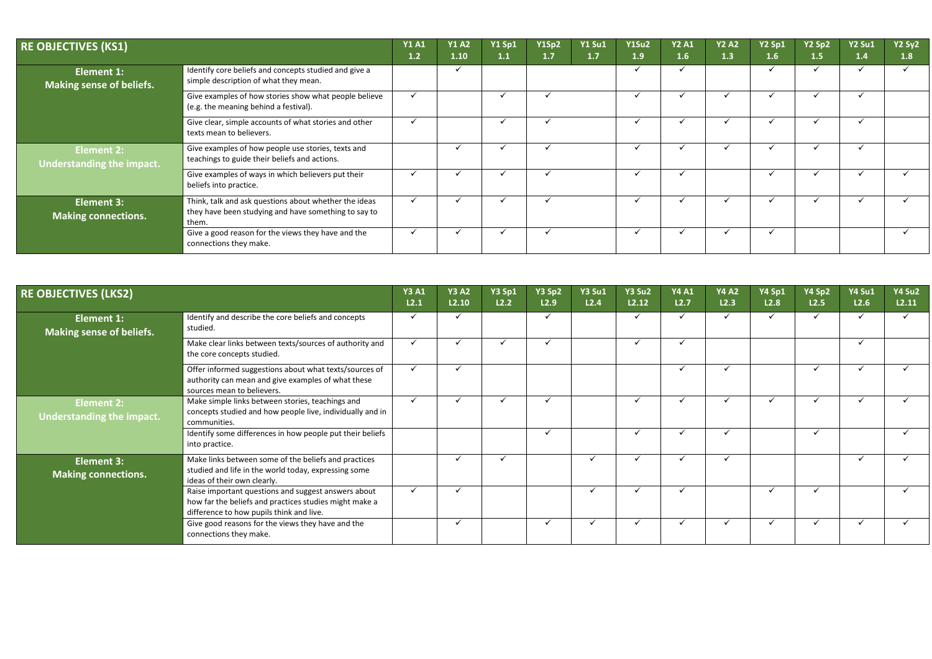| <b>RE OBJECTIVES (KS1)</b>                      |                                                                                                                        | <b>Y1 A1</b><br>1.2 | <b>Y1 A2</b><br>$1.10$ | <b>Y1 Sp1</b><br>1.1 | Y1Sp2<br>1.7 | <b>Y1 Su1</b><br>1.7 | <b>Y1Su2</b><br>1.9 | <b>Y2 A1</b><br>1.6 | <b>Y2 A2</b><br>1.3 | Y2 Sp1<br>1.6 | Y2 Sp2<br>1.5 | <b>Y2 Su1</b><br>1.4 | <b>Y2 Sy2</b><br> 1.8 |
|-------------------------------------------------|------------------------------------------------------------------------------------------------------------------------|---------------------|------------------------|----------------------|--------------|----------------------|---------------------|---------------------|---------------------|---------------|---------------|----------------------|-----------------------|
| <b>Element 1:</b><br>Making sense of beliefs.   | Identify core beliefs and concepts studied and give a<br>simple description of what they mean.                         |                     |                        |                      |              |                      |                     |                     |                     |               |               |                      |                       |
|                                                 | Give examples of how stories show what people believe<br>(e.g. the meaning behind a festival).                         | $\checkmark$        |                        |                      |              |                      |                     |                     |                     |               |               |                      |                       |
|                                                 | Give clear, simple accounts of what stories and other<br>texts mean to believers.                                      | $\checkmark$        |                        |                      |              |                      |                     |                     |                     |               |               |                      |                       |
| <b>Element 2:</b><br>Understanding the impact.  | Give examples of how people use stories, texts and<br>teachings to guide their beliefs and actions.                    |                     |                        |                      |              |                      |                     |                     |                     |               |               |                      |                       |
|                                                 | Give examples of ways in which believers put their<br>beliefs into practice.                                           | $\checkmark$        |                        |                      |              |                      |                     |                     |                     |               |               |                      |                       |
| <b>Element 3:</b><br><b>Making connections.</b> | Think, talk and ask questions about whether the ideas<br>they have been studying and have something to say to<br>them. | $\checkmark$        |                        |                      |              |                      |                     |                     |                     |               |               |                      |                       |
|                                                 | Give a good reason for the views they have and the<br>connections they make.                                           | $\checkmark$        |                        |                      |              |                      |                     |                     |                     |               |               |                      |                       |

| <b>RE OBJECTIVES (LKS2)</b>                          |                                                                                                                                                           | <b>Y3 A1</b><br>L2.1 | <b>Y3 A2</b><br>L2.10 | <b>Y3 Sp1</b><br>L2.2 | Y3 Sp2<br>L2.9 | <b>Y3 Su1</b><br>L2.4 | <b>Y3 Su2</b><br>L2.12 | <b>Y4 A1</b><br>L2.7 | <b>Y4 A2</b><br>L2.3 | <b>Y4 Sp1</b><br>L2.8 | Y4 Sp2<br>L2.5          | <b>Y4 Su1</b><br>L2.6 | Y4 Su2<br>L2.11 |
|------------------------------------------------------|-----------------------------------------------------------------------------------------------------------------------------------------------------------|----------------------|-----------------------|-----------------------|----------------|-----------------------|------------------------|----------------------|----------------------|-----------------------|-------------------------|-----------------------|-----------------|
| <b>Element 1:</b><br><b>Making sense of beliefs.</b> | Identify and describe the core beliefs and concepts<br>studied.                                                                                           | $\checkmark$         | $\checkmark$          |                       |                |                       |                        |                      | ✓                    |                       |                         |                       |                 |
|                                                      | Make clear links between texts/sources of authority and<br>the core concepts studied.                                                                     | ✓                    |                       |                       |                |                       |                        |                      |                      |                       |                         |                       |                 |
|                                                      | Offer informed suggestions about what texts/sources of<br>authority can mean and give examples of what these<br>sources mean to believers.                | $\checkmark$         |                       |                       |                |                       |                        |                      | ✓                    |                       |                         |                       |                 |
| <b>Element 2:</b><br>Understanding the impact.       | Make simple links between stories, teachings and<br>concepts studied and how people live, individually and in<br>communities.                             | $\checkmark$         |                       |                       |                |                       |                        |                      | $\checkmark$         |                       |                         |                       |                 |
|                                                      | Identify some differences in how people put their beliefs<br>into practice.                                                                               |                      |                       |                       |                |                       |                        |                      | $\checkmark$         |                       | $\overline{\mathbf{v}}$ |                       |                 |
| <b>Element 3:</b><br><b>Making connections.</b>      | Make links between some of the beliefs and practices<br>studied and life in the world today, expressing some<br>ideas of their own clearly.               |                      |                       | $\checkmark$          |                |                       |                        |                      | ✓                    |                       |                         |                       |                 |
|                                                      | Raise important questions and suggest answers about<br>how far the beliefs and practices studies might make a<br>difference to how pupils think and live. | $\checkmark$         | $\checkmark$          |                       |                |                       |                        |                      |                      |                       | $\checkmark$            |                       |                 |
|                                                      | Give good reasons for the views they have and the<br>connections they make.                                                                               |                      |                       |                       |                |                       |                        |                      |                      |                       |                         |                       |                 |